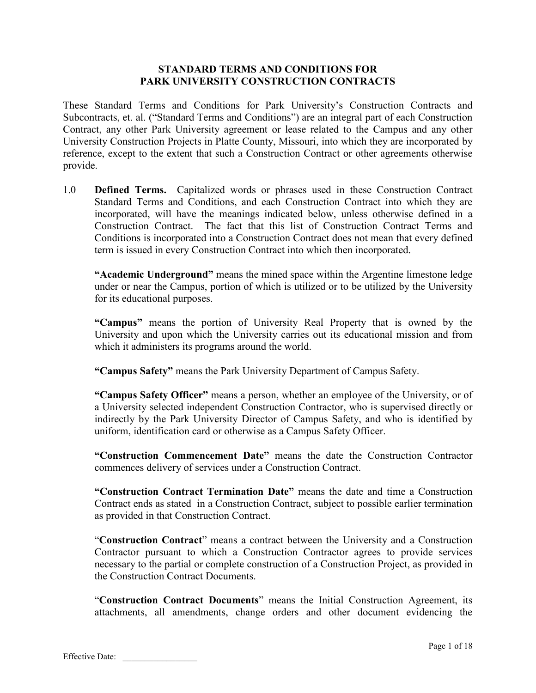## **STANDARD TERMS AND CONDITIONS FOR PARK UNIVERSITY CONSTRUCTION CONTRACTS**

These Standard Terms and Conditions for Park University's Construction Contracts and Subcontracts, et. al. ("Standard Terms and Conditions") are an integral part of each Construction Contract, any other Park University agreement or lease related to the Campus and any other University Construction Projects in Platte County, Missouri, into which they are incorporated by reference, except to the extent that such a Construction Contract or other agreements otherwise provide.

1.0 **Defined Terms.** Capitalized words or phrases used in these Construction Contract Standard Terms and Conditions, and each Construction Contract into which they are incorporated, will have the meanings indicated below, unless otherwise defined in a Construction Contract. The fact that this list of Construction Contract Terms and Conditions is incorporated into a Construction Contract does not mean that every defined term is issued in every Construction Contract into which then incorporated.

**"Academic Underground"** means the mined space within the Argentine limestone ledge under or near the Campus, portion of which is utilized or to be utilized by the University for its educational purposes.

**"Campus"** means the portion of University Real Property that is owned by the University and upon which the University carries out its educational mission and from which it administers its programs around the world.

**"Campus Safety"** means the Park University Department of Campus Safety.

**"Campus Safety Officer"** means a person, whether an employee of the University, or of a University selected independent Construction Contractor, who is supervised directly or indirectly by the Park University Director of Campus Safety, and who is identified by uniform, identification card or otherwise as a Campus Safety Officer.

**"Construction Commencement Date"** means the date the Construction Contractor commences delivery of services under a Construction Contract.

**"Construction Contract Termination Date"** means the date and time a Construction Contract ends as stated in a Construction Contract, subject to possible earlier termination as provided in that Construction Contract.

"**Construction Contract**" means a contract between the University and a Construction Contractor pursuant to which a Construction Contractor agrees to provide services necessary to the partial or complete construction of a Construction Project, as provided in the Construction Contract Documents.

"**Construction Contract Documents**" means the Initial Construction Agreement, its attachments, all amendments, change orders and other document evidencing the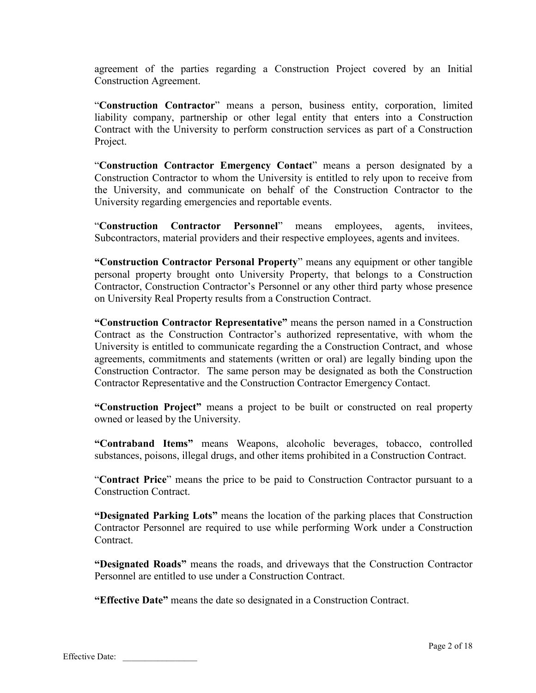agreement of the parties regarding a Construction Project covered by an Initial Construction Agreement.

"**Construction Contractor**" means a person, business entity, corporation, limited liability company, partnership or other legal entity that enters into a Construction Contract with the University to perform construction services as part of a Construction Project.

"**Construction Contractor Emergency Contact**" means a person designated by a Construction Contractor to whom the University is entitled to rely upon to receive from the University, and communicate on behalf of the Construction Contractor to the University regarding emergencies and reportable events.

"**Construction Contractor Personnel**" means employees, agents, invitees, Subcontractors, material providers and their respective employees, agents and invitees.

**"Construction Contractor Personal Property**" means any equipment or other tangible personal property brought onto University Property, that belongs to a Construction Contractor, Construction Contractor's Personnel or any other third party whose presence on University Real Property results from a Construction Contract.

**"Construction Contractor Representative"** means the person named in a Construction Contract as the Construction Contractor's authorized representative, with whom the University is entitled to communicate regarding the a Construction Contract, and whose agreements, commitments and statements (written or oral) are legally binding upon the Construction Contractor. The same person may be designated as both the Construction Contractor Representative and the Construction Contractor Emergency Contact.

**"Construction Project"** means a project to be built or constructed on real property owned or leased by the University.

**"Contraband Items"** means Weapons, alcoholic beverages, tobacco, controlled substances, poisons, illegal drugs, and other items prohibited in a Construction Contract.

"**Contract Price**" means the price to be paid to Construction Contractor pursuant to a Construction Contract.

**"Designated Parking Lots"** means the location of the parking places that Construction Contractor Personnel are required to use while performing Work under a Construction Contract.

**"Designated Roads"** means the roads, and driveways that the Construction Contractor Personnel are entitled to use under a Construction Contract.

**"Effective Date"** means the date so designated in a Construction Contract.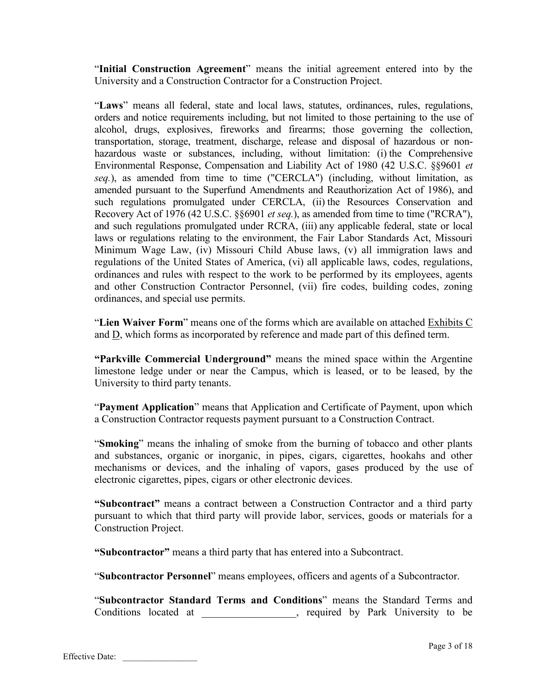"**Initial Construction Agreement**" means the initial agreement entered into by the University and a Construction Contractor for a Construction Project.

"**Laws**" means all federal, state and local laws, statutes, ordinances, rules, regulations, orders and notice requirements including, but not limited to those pertaining to the use of alcohol, drugs, explosives, fireworks and firearms; those governing the collection, transportation, storage, treatment, discharge, release and disposal of hazardous or nonhazardous waste or substances, including, without limitation: (i) the Comprehensive Environmental Response, Compensation and Liability Act of 1980 (42 U.S.C. §§9601 *et seq.*), as amended from time to time ("CERCLA") (including, without limitation, as amended pursuant to the Superfund Amendments and Reauthorization Act of 1986), and such regulations promulgated under CERCLA, (ii) the Resources Conservation and Recovery Act of 1976 (42 U.S.C. §§6901 *et seq.*), as amended from time to time ("RCRA"), and such regulations promulgated under RCRA, (iii) any applicable federal, state or local laws or regulations relating to the environment, the Fair Labor Standards Act, Missouri Minimum Wage Law, (iv) Missouri Child Abuse laws, (v) all immigration laws and regulations of the United States of America, (vi) all applicable laws, codes, regulations, ordinances and rules with respect to the work to be performed by its employees, agents and other Construction Contractor Personnel, (vii) fire codes, building codes, zoning ordinances, and special use permits.

"**Lien Waiver Form**" means one of the forms which are available on attached Exhibits C and D, which forms as incorporated by reference and made part of this defined term.

**"Parkville Commercial Underground"** means the mined space within the Argentine limestone ledge under or near the Campus, which is leased, or to be leased, by the University to third party tenants.

"**Payment Application**" means that Application and Certificate of Payment, upon which a Construction Contractor requests payment pursuant to a Construction Contract.

"**Smoking**" means the inhaling of smoke from the burning of tobacco and other plants and substances, organic or inorganic, in pipes, cigars, cigarettes, hookahs and other mechanisms or devices, and the inhaling of vapors, gases produced by the use of electronic cigarettes, pipes, cigars or other electronic devices.

**"Subcontract"** means a contract between a Construction Contractor and a third party pursuant to which that third party will provide labor, services, goods or materials for a Construction Project.

**"Subcontractor"** means a third party that has entered into a Subcontract.

"**Subcontractor Personnel**" means employees, officers and agents of a Subcontractor.

"**Subcontractor Standard Terms and Conditions**" means the Standard Terms and Conditions located at  $\qquad \qquad$  required by Park University to be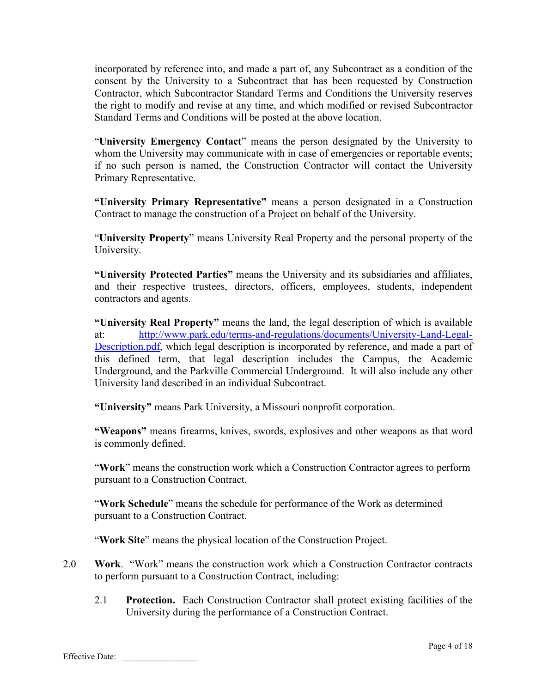incorporated by reference into, and made a part of, any Subcontract as a condition of the consent by the University to a Subcontract that has been requested by Construction Contractor, which Subcontractor Standard Terms and Conditions the University reserves the right to modify and revise at any time, and which modified or revised Subcontractor Standard Terms and Conditions will be posted at the above location.

"**University Emergency Contact**" means the person designated by the University to whom the University may communicate with in case of emergencies or reportable events; if no such person is named, the Construction Contractor will contact the University Primary Representative.

**"University Primary Representative"** means a person designated in a Construction Contract to manage the construction of a Project on behalf of the University.

"**University Property**" means University Real Property and the personal property of the University.

**"University Protected Parties"** means the University and its subsidiaries and affiliates, and their respective trustees, directors, officers, employees, students, independent contractors and agents.

**"University Real Property"** means the land, the legal description of which is available at: http://www.park.edu/terms-and-regulations/documents/University-Land-Legal-Description.pdf, which legal description is incorporated by reference, and made a part of this defined term, that legal description includes the Campus, the Academic Underground, and the Parkville Commercial Underground. It will also include any other University land described in an individual Subcontract.

**"University"** means Park University, a Missouri nonprofit corporation.

**"Weapons"** means firearms, knives, swords, explosives and other weapons as that word is commonly defined.

"**Work**" means the construction work which a Construction Contractor agrees to perform pursuant to a Construction Contract.

"**Work Schedule**" means the schedule for performance of the Work as determined pursuant to a Construction Contract.

"**Work Site**" means the physical location of the Construction Project.

- 2.0 **Work**. "Work" means the construction work which a Construction Contractor contracts to perform pursuant to a Construction Contract, including:
	- 2.1 **Protection.** Each Construction Contractor shall protect existing facilities of the University during the performance of a Construction Contract.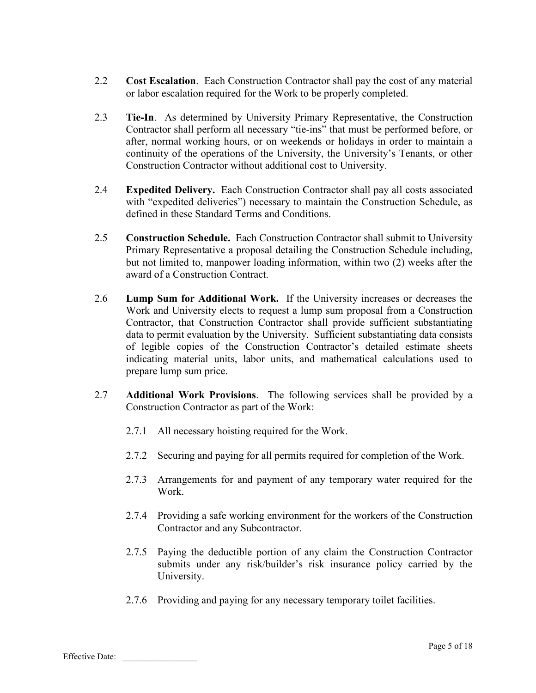- 2.2 **Cost Escalation**. Each Construction Contractor shall pay the cost of any material or labor escalation required for the Work to be properly completed.
- 2.3 **Tie-In**. As determined by University Primary Representative, the Construction Contractor shall perform all necessary "tie-ins" that must be performed before, or after, normal working hours, or on weekends or holidays in order to maintain a continuity of the operations of the University, the University's Tenants, or other Construction Contractor without additional cost to University.
- 2.4 **Expedited Delivery.** Each Construction Contractor shall pay all costs associated with "expedited deliveries") necessary to maintain the Construction Schedule, as defined in these Standard Terms and Conditions.
- 2.5 **Construction Schedule.** Each Construction Contractor shall submit to University Primary Representative a proposal detailing the Construction Schedule including, but not limited to, manpower loading information, within two (2) weeks after the award of a Construction Contract.
- 2.6 **Lump Sum for Additional Work.** If the University increases or decreases the Work and University elects to request a lump sum proposal from a Construction Contractor, that Construction Contractor shall provide sufficient substantiating data to permit evaluation by the University. Sufficient substantiating data consists of legible copies of the Construction Contractor's detailed estimate sheets indicating material units, labor units, and mathematical calculations used to prepare lump sum price.
- 2.7 **Additional Work Provisions**. The following services shall be provided by a Construction Contractor as part of the Work:
	- 2.7.1 All necessary hoisting required for the Work.
	- 2.7.2 Securing and paying for all permits required for completion of the Work.
	- 2.7.3 Arrangements for and payment of any temporary water required for the Work.
	- 2.7.4 Providing a safe working environment for the workers of the Construction Contractor and any Subcontractor.
	- 2.7.5 Paying the deductible portion of any claim the Construction Contractor submits under any risk/builder's risk insurance policy carried by the University.
	- 2.7.6 Providing and paying for any necessary temporary toilet facilities.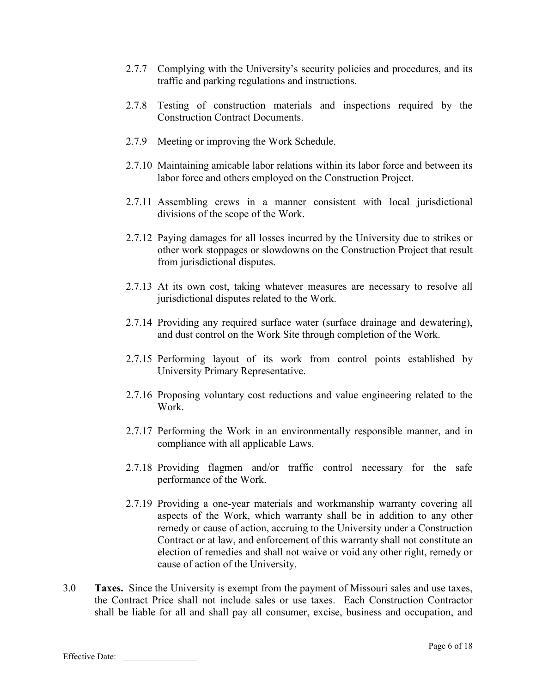- 2.7.7 Complying with the University's security policies and procedures, and its traffic and parking regulations and instructions.
- 2.7.8 Testing of construction materials and inspections required by the Construction Contract Documents.
- 2.7.9 Meeting or improving the Work Schedule.
- 2.7.10 Maintaining amicable labor relations within its labor force and between its labor force and others employed on the Construction Project.
- 2.7.11 Assembling crews in a manner consistent with local jurisdictional divisions of the scope of the Work.
- 2.7.12 Paying damages for all losses incurred by the University due to strikes or other work stoppages or slowdowns on the Construction Project that result from jurisdictional disputes.
- 2.7.13 At its own cost, taking whatever measures are necessary to resolve all jurisdictional disputes related to the Work.
- 2.7.14 Providing any required surface water (surface drainage and dewatering), and dust control on the Work Site through completion of the Work.
- 2.7.15 Performing layout of its work from control points established by University Primary Representative.
- 2.7.16 Proposing voluntary cost reductions and value engineering related to the Work.
- 2.7.17 Performing the Work in an environmentally responsible manner, and in compliance with all applicable Laws.
- 2.7.18 Providing flagmen and/or traffic control necessary for the safe performance of the Work.
- 2.7.19 Providing a one-year materials and workmanship warranty covering all aspects of the Work, which warranty shall be in addition to any other remedy or cause of action, accruing to the University under a Construction Contract or at law, and enforcement of this warranty shall not constitute an election of remedies and shall not waive or void any other right, remedy or cause of action of the University.
- 3.0 **Taxes.** Since the University is exempt from the payment of Missouri sales and use taxes, the Contract Price shall not include sales or use taxes. Each Construction Contractor shall be liable for all and shall pay all consumer, excise, business and occupation, and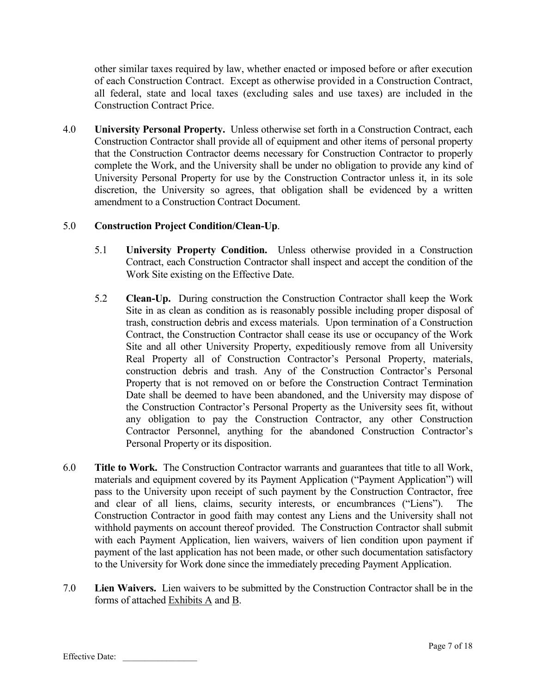other similar taxes required by law, whether enacted or imposed before or after execution of each Construction Contract. Except as otherwise provided in a Construction Contract, all federal, state and local taxes (excluding sales and use taxes) are included in the Construction Contract Price.

4.0 **University Personal Property.** Unless otherwise set forth in a Construction Contract, each Construction Contractor shall provide all of equipment and other items of personal property that the Construction Contractor deems necessary for Construction Contractor to properly complete the Work, and the University shall be under no obligation to provide any kind of University Personal Property for use by the Construction Contractor unless it, in its sole discretion, the University so agrees, that obligation shall be evidenced by a written amendment to a Construction Contract Document.

# 5.0 **Construction Project Condition/Clean-Up**.

- 5.1 **University Property Condition.** Unless otherwise provided in a Construction Contract, each Construction Contractor shall inspect and accept the condition of the Work Site existing on the Effective Date.
- 5.2 **Clean-Up.** During construction the Construction Contractor shall keep the Work Site in as clean as condition as is reasonably possible including proper disposal of trash, construction debris and excess materials. Upon termination of a Construction Contract, the Construction Contractor shall cease its use or occupancy of the Work Site and all other University Property, expeditiously remove from all University Real Property all of Construction Contractor's Personal Property, materials, construction debris and trash. Any of the Construction Contractor's Personal Property that is not removed on or before the Construction Contract Termination Date shall be deemed to have been abandoned, and the University may dispose of the Construction Contractor's Personal Property as the University sees fit, without any obligation to pay the Construction Contractor, any other Construction Contractor Personnel, anything for the abandoned Construction Contractor's Personal Property or its disposition.
- 6.0 **Title to Work.** The Construction Contractor warrants and guarantees that title to all Work, materials and equipment covered by its Payment Application ("Payment Application") will pass to the University upon receipt of such payment by the Construction Contractor, free and clear of all liens, claims, security interests, or encumbrances ("Liens"). The Construction Contractor in good faith may contest any Liens and the University shall not withhold payments on account thereof provided. The Construction Contractor shall submit with each Payment Application, lien waivers, waivers of lien condition upon payment if payment of the last application has not been made, or other such documentation satisfactory to the University for Work done since the immediately preceding Payment Application.
- 7.0 **Lien Waivers.** Lien waivers to be submitted by the Construction Contractor shall be in the forms of attached Exhibits A and B.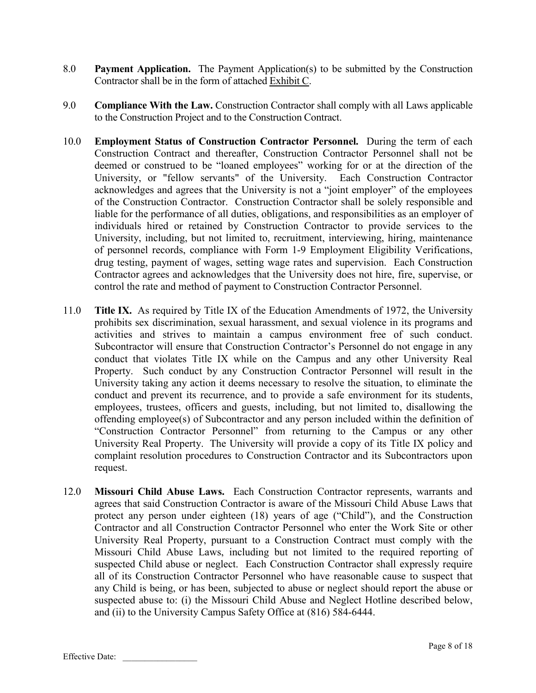- 8.0 **Payment Application.** The Payment Application(s) to be submitted by the Construction Contractor shall be in the form of attached Exhibit C.
- 9.0 **Compliance With the Law.** Construction Contractor shall comply with all Laws applicable to the Construction Project and to the Construction Contract.
- 10.0 **Employment Status of Construction Contractor Personnel.** During the term of each Construction Contract and thereafter, Construction Contractor Personnel shall not be deemed or construed to be "loaned employees" working for or at the direction of the University, or "fellow servants" of the University. Each Construction Contractor acknowledges and agrees that the University is not a "joint employer" of the employees of the Construction Contractor. Construction Contractor shall be solely responsible and liable for the performance of all duties, obligations, and responsibilities as an employer of individuals hired or retained by Construction Contractor to provide services to the University, including, but not limited to, recruitment, interviewing, hiring, maintenance of personnel records, compliance with Form 1-9 Employment Eligibility Verifications, drug testing, payment of wages, setting wage rates and supervision. Each Construction Contractor agrees and acknowledges that the University does not hire, fire, supervise, or control the rate and method of payment to Construction Contractor Personnel.
- 11.0 **Title IX.** As required by Title IX of the Education Amendments of 1972, the University prohibits sex discrimination, sexual harassment, and sexual violence in its programs and activities and strives to maintain a campus environment free of such conduct. Subcontractor will ensure that Construction Contractor's Personnel do not engage in any conduct that violates Title IX while on the Campus and any other University Real Property. Such conduct by any Construction Contractor Personnel will result in the University taking any action it deems necessary to resolve the situation, to eliminate the conduct and prevent its recurrence, and to provide a safe environment for its students, employees, trustees, officers and guests, including, but not limited to, disallowing the offending employee(s) of Subcontractor and any person included within the definition of "Construction Contractor Personnel" from returning to the Campus or any other University Real Property. The University will provide a copy of its Title IX policy and complaint resolution procedures to Construction Contractor and its Subcontractors upon request.
- 12.0 **Missouri Child Abuse Laws.** Each Construction Contractor represents, warrants and agrees that said Construction Contractor is aware of the Missouri Child Abuse Laws that protect any person under eighteen (18) years of age ("Child"), and the Construction Contractor and all Construction Contractor Personnel who enter the Work Site or other University Real Property, pursuant to a Construction Contract must comply with the Missouri Child Abuse Laws, including but not limited to the required reporting of suspected Child abuse or neglect. Each Construction Contractor shall expressly require all of its Construction Contractor Personnel who have reasonable cause to suspect that any Child is being, or has been, subjected to abuse or neglect should report the abuse or suspected abuse to: (i) the Missouri Child Abuse and Neglect Hotline described below, and (ii) to the University Campus Safety Office at (816) 584-6444.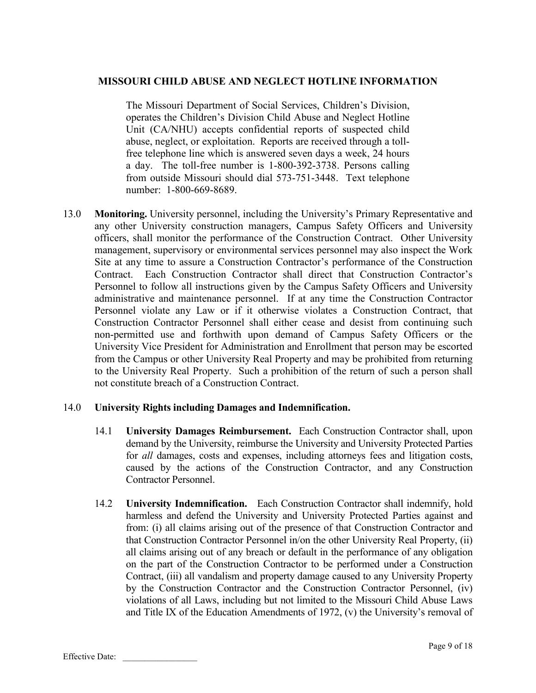## **MISSOURI CHILD ABUSE AND NEGLECT HOTLINE INFORMATION**

The Missouri Department of Social Services, Children's Division, operates the Children's Division Child Abuse and Neglect Hotline Unit (CA/NHU) accepts confidential reports of suspected child abuse, neglect, or exploitation. Reports are received through a tollfree telephone line which is answered seven days a week, 24 hours a day. The toll-free number is 1-800-392-3738. Persons calling from outside Missouri should dial 573-751-3448. Text telephone number: 1-800-669-8689.

13.0 **Monitoring.** University personnel, including the University's Primary Representative and any other University construction managers, Campus Safety Officers and University officers, shall monitor the performance of the Construction Contract. Other University management, supervisory or environmental services personnel may also inspect the Work Site at any time to assure a Construction Contractor's performance of the Construction Contract. Each Construction Contractor shall direct that Construction Contractor's Personnel to follow all instructions given by the Campus Safety Officers and University administrative and maintenance personnel. If at any time the Construction Contractor Personnel violate any Law or if it otherwise violates a Construction Contract, that Construction Contractor Personnel shall either cease and desist from continuing such non-permitted use and forthwith upon demand of Campus Safety Officers or the University Vice President for Administration and Enrollment that person may be escorted from the Campus or other University Real Property and may be prohibited from returning to the University Real Property. Such a prohibition of the return of such a person shall not constitute breach of a Construction Contract.

### 14.0 **University Rights including Damages and Indemnification.**

- 14.1 **University Damages Reimbursement.** Each Construction Contractor shall, upon demand by the University, reimburse the University and University Protected Parties for *all* damages, costs and expenses, including attorneys fees and litigation costs, caused by the actions of the Construction Contractor, and any Construction Contractor Personnel.
- 14.2 **University Indemnification.** Each Construction Contractor shall indemnify, hold harmless and defend the University and University Protected Parties against and from: (i) all claims arising out of the presence of that Construction Contractor and that Construction Contractor Personnel in/on the other University Real Property, (ii) all claims arising out of any breach or default in the performance of any obligation on the part of the Construction Contractor to be performed under a Construction Contract, (iii) all vandalism and property damage caused to any University Property by the Construction Contractor and the Construction Contractor Personnel, (iv) violations of all Laws, including but not limited to the Missouri Child Abuse Laws and Title IX of the Education Amendments of 1972, (v) the University's removal of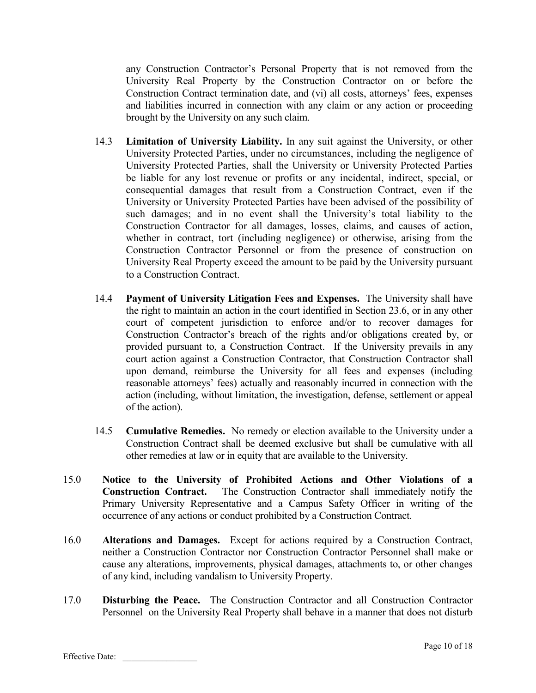any Construction Contractor's Personal Property that is not removed from the University Real Property by the Construction Contractor on or before the Construction Contract termination date, and (vi) all costs, attorneys' fees, expenses and liabilities incurred in connection with any claim or any action or proceeding brought by the University on any such claim.

- 14.3 **Limitation of University Liability.** In any suit against the University, or other University Protected Parties, under no circumstances, including the negligence of University Protected Parties, shall the University or University Protected Parties be liable for any lost revenue or profits or any incidental, indirect, special, or consequential damages that result from a Construction Contract, even if the University or University Protected Parties have been advised of the possibility of such damages; and in no event shall the University's total liability to the Construction Contractor for all damages, losses, claims, and causes of action, whether in contract, tort (including negligence) or otherwise, arising from the Construction Contractor Personnel or from the presence of construction on University Real Property exceed the amount to be paid by the University pursuant to a Construction Contract.
- 14.4 **Payment of University Litigation Fees and Expenses.** The University shall have the right to maintain an action in the court identified in Section 23.6, or in any other court of competent jurisdiction to enforce and/or to recover damages for Construction Contractor's breach of the rights and/or obligations created by, or provided pursuant to, a Construction Contract. If the University prevails in any court action against a Construction Contractor, that Construction Contractor shall upon demand, reimburse the University for all fees and expenses (including reasonable attorneys' fees) actually and reasonably incurred in connection with the action (including, without limitation, the investigation, defense, settlement or appeal of the action).
- 14.5 **Cumulative Remedies.** No remedy or election available to the University under a Construction Contract shall be deemed exclusive but shall be cumulative with all other remedies at law or in equity that are available to the University.
- 15.0 **Notice to the University of Prohibited Actions and Other Violations of a Construction Contract.** The Construction Contractor shall immediately notify the Primary University Representative and a Campus Safety Officer in writing of the occurrence of any actions or conduct prohibited by a Construction Contract.
- 16.0 **Alterations and Damages.** Except for actions required by a Construction Contract, neither a Construction Contractor nor Construction Contractor Personnel shall make or cause any alterations, improvements, physical damages, attachments to, or other changes of any kind, including vandalism to University Property.
- 17.0 **Disturbing the Peace.** The Construction Contractor and all Construction Contractor Personnel on the University Real Property shall behave in a manner that does not disturb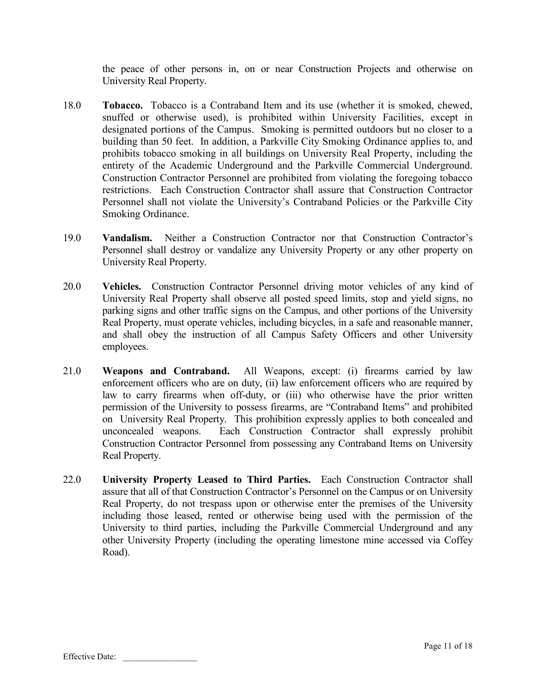the peace of other persons in, on or near Construction Projects and otherwise on University Real Property.

- 18.0 **Tobacco.** Tobacco is a Contraband Item and its use (whether it is smoked, chewed, snuffed or otherwise used), is prohibited within University Facilities, except in designated portions of the Campus. Smoking is permitted outdoors but no closer to a building than 50 feet. In addition, a Parkville City Smoking Ordinance applies to, and prohibits tobacco smoking in all buildings on University Real Property, including the entirety of the Academic Underground and the Parkville Commercial Underground. Construction Contractor Personnel are prohibited from violating the foregoing tobacco restrictions. Each Construction Contractor shall assure that Construction Contractor Personnel shall not violate the University's Contraband Policies or the Parkville City Smoking Ordinance.
- 19.0 **Vandalism.** Neither a Construction Contractor nor that Construction Contractor's Personnel shall destroy or vandalize any University Property or any other property on University Real Property.
- 20.0 **Vehicles.** Construction Contractor Personnel driving motor vehicles of any kind of University Real Property shall observe all posted speed limits, stop and yield signs, no parking signs and other traffic signs on the Campus, and other portions of the University Real Property, must operate vehicles, including bicycles, in a safe and reasonable manner, and shall obey the instruction of all Campus Safety Officers and other University employees.
- 21.0 **Weapons and Contraband.** All Weapons, except: (i) firearms carried by law enforcement officers who are on duty, (ii) law enforcement officers who are required by law to carry firearms when off-duty, or (iii) who otherwise have the prior written permission of the University to possess firearms, are "Contraband Items" and prohibited on University Real Property. This prohibition expressly applies to both concealed and unconcealed weapons. Each Construction Contractor shall expressly prohibit Construction Contractor Personnel from possessing any Contraband Items on University Real Property.
- 22.0 **University Property Leased to Third Parties.** Each Construction Contractor shall assure that all of that Construction Contractor's Personnel on the Campus or on University Real Property, do not trespass upon or otherwise enter the premises of the University including those leased, rented or otherwise being used with the permission of the University to third parties, including the Parkville Commercial Underground and any other University Property (including the operating limestone mine accessed via Coffey Road).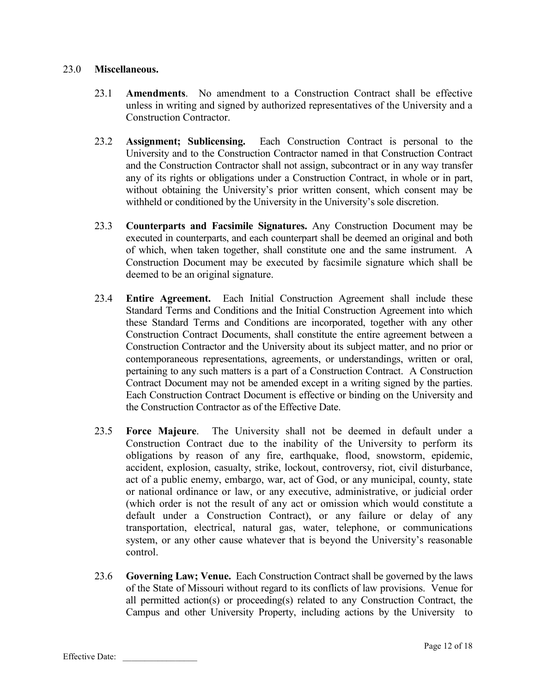# 23.0 **Miscellaneous.**

- 23.1 **Amendments**. No amendment to a Construction Contract shall be effective unless in writing and signed by authorized representatives of the University and a Construction Contractor.
- 23.2 **Assignment; Sublicensing.** Each Construction Contract is personal to the University and to the Construction Contractor named in that Construction Contract and the Construction Contractor shall not assign, subcontract or in any way transfer any of its rights or obligations under a Construction Contract, in whole or in part, without obtaining the University's prior written consent, which consent may be withheld or conditioned by the University in the University's sole discretion.
- 23.3 **Counterparts and Facsimile Signatures.** Any Construction Document may be executed in counterparts, and each counterpart shall be deemed an original and both of which, when taken together, shall constitute one and the same instrument. A Construction Document may be executed by facsimile signature which shall be deemed to be an original signature.
- 23.4 **Entire Agreement.** Each Initial Construction Agreement shall include these Standard Terms and Conditions and the Initial Construction Agreement into which these Standard Terms and Conditions are incorporated, together with any other Construction Contract Documents, shall constitute the entire agreement between a Construction Contractor and the University about its subject matter, and no prior or contemporaneous representations, agreements, or understandings, written or oral, pertaining to any such matters is a part of a Construction Contract. A Construction Contract Document may not be amended except in a writing signed by the parties. Each Construction Contract Document is effective or binding on the University and the Construction Contractor as of the Effective Date.
- 23.5 **Force Majeure**. The University shall not be deemed in default under a Construction Contract due to the inability of the University to perform its obligations by reason of any fire, earthquake, flood, snowstorm, epidemic, accident, explosion, casualty, strike, lockout, controversy, riot, civil disturbance, act of a public enemy, embargo, war, act of God, or any municipal, county, state or national ordinance or law, or any executive, administrative, or judicial order (which order is not the result of any act or omission which would constitute a default under a Construction Contract), or any failure or delay of any transportation, electrical, natural gas, water, telephone, or communications system, or any other cause whatever that is beyond the University's reasonable control.
- 23.6 **Governing Law; Venue.** Each Construction Contract shall be governed by the laws of the State of Missouri without regard to its conflicts of law provisions. Venue for all permitted action(s) or proceeding(s) related to any Construction Contract, the Campus and other University Property, including actions by the University to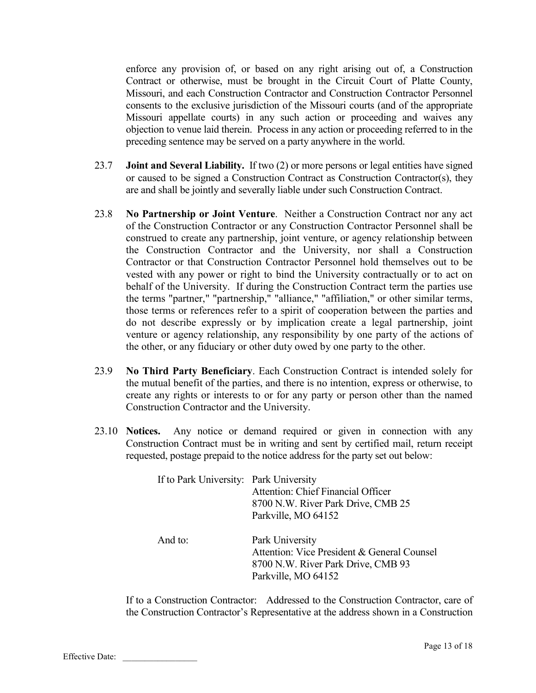enforce any provision of, or based on any right arising out of, a Construction Contract or otherwise, must be brought in the Circuit Court of Platte County, Missouri, and each Construction Contractor and Construction Contractor Personnel consents to the exclusive jurisdiction of the Missouri courts (and of the appropriate Missouri appellate courts) in any such action or proceeding and waives any objection to venue laid therein. Process in any action or proceeding referred to in the preceding sentence may be served on a party anywhere in the world.

- 23.7 **Joint and Several Liability.** If two (2) or more persons or legal entities have signed or caused to be signed a Construction Contract as Construction Contractor(s), they are and shall be jointly and severally liable under such Construction Contract.
- 23.8 **No Partnership or Joint Venture**. Neither a Construction Contract nor any act of the Construction Contractor or any Construction Contractor Personnel shall be construed to create any partnership, joint venture, or agency relationship between the Construction Contractor and the University, nor shall a Construction Contractor or that Construction Contractor Personnel hold themselves out to be vested with any power or right to bind the University contractually or to act on behalf of the University. If during the Construction Contract term the parties use the terms "partner," "partnership," "alliance," "affiliation," or other similar terms, those terms or references refer to a spirit of cooperation between the parties and do not describe expressly or by implication create a legal partnership, joint venture or agency relationship, any responsibility by one party of the actions of the other, or any fiduciary or other duty owed by one party to the other.
- 23.9 **No Third Party Beneficiary**. Each Construction Contract is intended solely for the mutual benefit of the parties, and there is no intention, express or otherwise, to create any rights or interests to or for any party or person other than the named Construction Contractor and the University.
- 23.10 **Notices.** Any notice or demand required or given in connection with any Construction Contract must be in writing and sent by certified mail, return receipt requested, postage prepaid to the notice address for the party set out below:

| If to Park University: Park University | Attention: Chief Financial Officer<br>8700 N.W. River Park Drive, CMB 25<br>Parkville, MO 64152                             |
|----------------------------------------|-----------------------------------------------------------------------------------------------------------------------------|
| And to:                                | Park University<br>Attention: Vice President & General Counsel<br>8700 N.W. River Park Drive, CMB 93<br>Parkville, MO 64152 |

If to a Construction Contractor: Addressed to the Construction Contractor, care of the Construction Contractor's Representative at the address shown in a Construction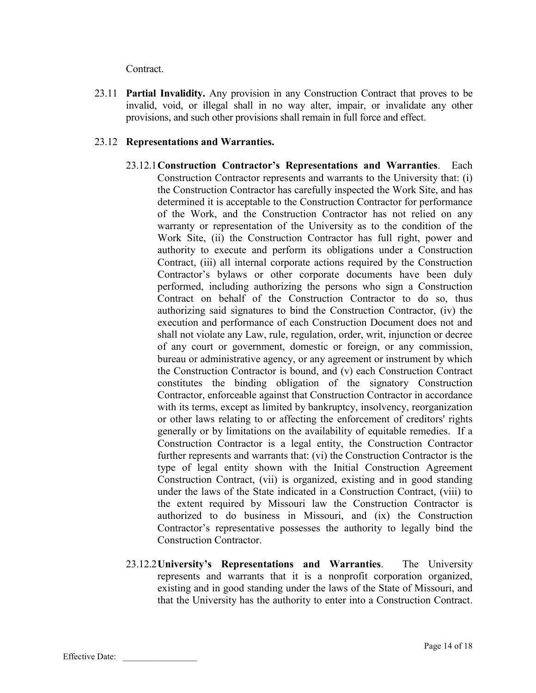Contract.

23.11 **Partial Invalidity.** Any provision in any Construction Contract that proves to be invalid, void, or illegal shall in no way alter, impair, or invalidate any other provisions, and such other provisions shall remain in full force and effect.

# 23.12 **Representations and Warranties.**

- 23.12.1**Construction Contractor's Representations and Warranties**. Each Construction Contractor represents and warrants to the University that: (i) the Construction Contractor has carefully inspected the Work Site, and has determined it is acceptable to the Construction Contractor for performance of the Work, and the Construction Contractor has not relied on any warranty or representation of the University as to the condition of the Work Site, (ii) the Construction Contractor has full right, power and authority to execute and perform its obligations under a Construction Contract, (iii) all internal corporate actions required by the Construction Contractor's bylaws or other corporate documents have been duly performed, including authorizing the persons who sign a Construction Contract on behalf of the Construction Contractor to do so, thus authorizing said signatures to bind the Construction Contractor, (iv) the execution and performance of each Construction Document does not and shall not violate any Law, rule, regulation, order, writ, injunction or decree of any court or government, domestic or foreign, or any commission, bureau or administrative agency, or any agreement or instrument by which the Construction Contractor is bound, and (v) each Construction Contract constitutes the binding obligation of the signatory Construction Contractor, enforceable against that Construction Contractor in accordance with its terms, except as limited by bankruptcy, insolvency, reorganization or other laws relating to or affecting the enforcement of creditors' rights generally or by limitations on the availability of equitable remedies. If a Construction Contractor is a legal entity, the Construction Contractor further represents and warrants that: (vi) the Construction Contractor is the type of legal entity shown with the Initial Construction Agreement Construction Contract, (vii) is organized, existing and in good standing under the laws of the State indicated in a Construction Contract, (viii) to the extent required by Missouri law the Construction Contractor is authorized to do business in Missouri, and (ix) the Construction Contractor's representative possesses the authority to legally bind the Construction Contractor.
- 23.12.2**University's Representations and Warranties**. The University represents and warrants that it is a nonprofit corporation organized, existing and in good standing under the laws of the State of Missouri, and that the University has the authority to enter into a Construction Contract.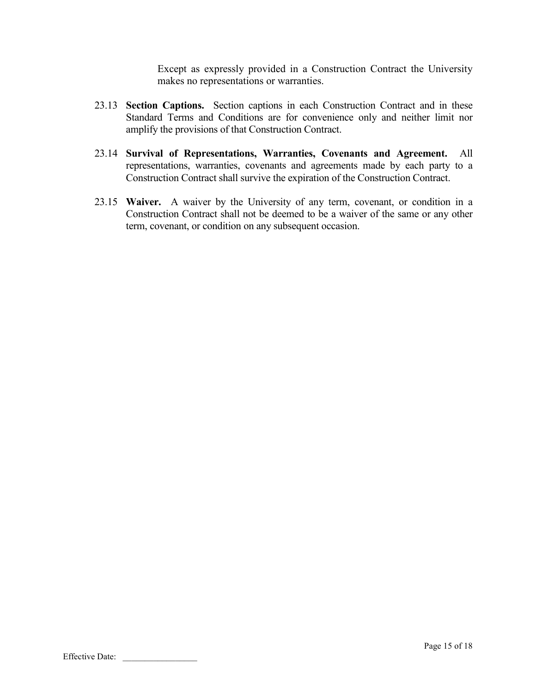Except as expressly provided in a Construction Contract the University makes no representations or warranties.

- 23.13 **Section Captions.** Section captions in each Construction Contract and in these Standard Terms and Conditions are for convenience only and neither limit nor amplify the provisions of that Construction Contract.
- 23.14 **Survival of Representations, Warranties, Covenants and Agreement.** All representations, warranties, covenants and agreements made by each party to a Construction Contract shall survive the expiration of the Construction Contract.
- 23.15 **Waiver.** A waiver by the University of any term, covenant, or condition in a Construction Contract shall not be deemed to be a waiver of the same or any other term, covenant, or condition on any subsequent occasion.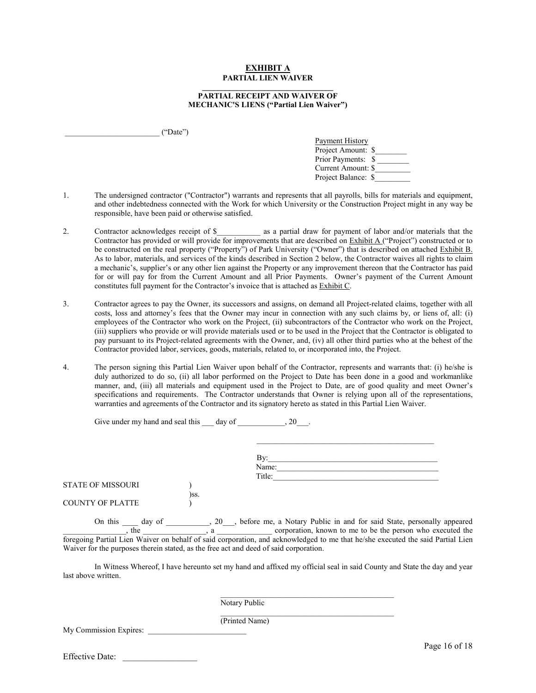### **EXHIBIT A PARTIAL LIEN WAIVER**

### **\_\_\_\_\_\_\_\_\_\_\_\_\_\_\_\_\_\_\_\_\_\_\_\_\_\_\_\_\_\_\_\_\_\_ PARTIAL RECEIPT AND WAIVER OF MECHANIC'S LIENS ("Partial Lien Waiver")**

 $("Date")$ 

| <b>Payment History</b> |  |
|------------------------|--|
| Project Amount: \$     |  |
| Prior Payments: \$     |  |
| Current Amount: \$     |  |
| Project Balance: \$    |  |

\_\_\_\_\_\_\_\_\_\_\_\_\_\_\_\_\_\_\_\_\_\_\_\_\_\_\_\_\_\_\_\_\_\_\_\_\_\_\_\_\_\_\_\_\_

- 1. The undersigned contractor ("Contractor") warrants and represents that all payrolls, bills for materials and equipment, and other indebtedness connected with the Work for which University or the Construction Project might in any way be responsible, have been paid or otherwise satisfied.
- 2. Contractor acknowledges receipt of \$\_\_\_\_\_\_\_\_\_\_\_ as a partial draw for payment of labor and/or materials that the Contractor has provided or will provide for improvements that are described on  $Exhibit A$  ("Project") constructed or to be constructed on the real property ("Property") of Park University ("Owner") that is described on attached Exhibit B. As to labor, materials, and services of the kinds described in Section 2 below, the Contractor waives all rights to claim a mechanic's, supplier's or any other lien against the Property or any improvement thereon that the Contractor has paid for or will pay for from the Current Amount and all Prior Payments. Owner's payment of the Current Amount constitutes full payment for the Contractor's invoice that is attached as Exhibit C.
- 3. Contractor agrees to pay the Owner, its successors and assigns, on demand all Project-related claims, together with all costs, loss and attorney's fees that the Owner may incur in connection with any such claims by, or liens of, all: (i) employees of the Contractor who work on the Project, (ii) subcontractors of the Contractor who work on the Project, (iii) suppliers who provide or will provide materials used or to be used in the Project that the Contractor is obligated to pay pursuant to its Project-related agreements with the Owner, and, (iv) all other third parties who at the behest of the Contractor provided labor, services, goods, materials, related to, or incorporated into, the Project.
- 4. The person signing this Partial Lien Waiver upon behalf of the Contractor, represents and warrants that: (i) he/she is duly authorized to do so, (ii) all labor performed on the Project to Date has been done in a good and workmanlike manner, and, (iii) all materials and equipment used in the Project to Date, are of good quality and meet Owner's specifications and requirements. The Contractor understands that Owner is relying upon all of the representations, warranties and agreements of the Contractor and its signatory hereto as stated in this Partial Lien Waiver.

| Give under my hand and seal this |  | day of |  |
|----------------------------------|--|--------|--|
|                                  |  |        |  |

|                         |      | Name:  |  |
|-------------------------|------|--------|--|
| STATE OF MISSOURI       |      | Title: |  |
|                         | )SS. |        |  |
| <b>COUNTY OF PLATTE</b> |      |        |  |

On this \_\_\_\_ day of \_\_\_\_\_\_\_\_, 20\_\_\_, before me, a Notary Public in and for said State, personally appeared  $\ldots$ , the  $\ldots$ , a  $\ldots$ , a  $\ldots$  corporation, known to me to be the person who executed the foregoing Partial Lien Waiver on behalf of said corporation, and acknowledged to me that he/she executed the said Partial Lien Waiver for the purposes therein stated, as the free act and deed of said corporation.

In Witness Whereof, I have hereunto set my hand and affixed my official seal in said County and State the day and year last above written.

\_\_\_\_\_\_\_\_\_\_\_\_\_\_\_\_\_\_\_\_\_\_\_\_\_\_\_\_\_\_\_\_\_\_\_\_\_\_\_\_\_\_\_\_

\_\_\_\_\_\_\_\_\_\_\_\_\_\_\_\_\_\_\_\_\_\_\_\_\_\_\_\_\_\_\_\_\_\_\_\_\_\_\_\_\_\_\_\_ Notary Public

My Commission Expires:

(Printed Name)

Effective Date: \_\_\_\_\_\_\_\_\_\_\_\_\_\_\_\_\_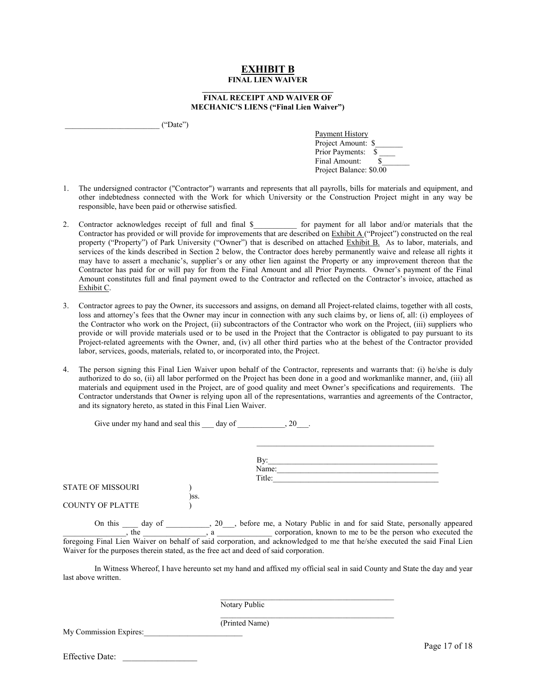### **EXHIBIT B FINAL LIEN WAIVER**

#### **\_\_\_\_\_\_\_\_\_\_\_\_\_\_\_\_\_\_\_\_\_\_\_\_\_\_\_\_\_\_\_\_\_\_ FINAL RECEIPT AND WAIVER OF MECHANIC'S LIENS ("Final Lien Waiver")**

 $("Date")$ 

Payment History Project Amount: \$ Prior Payments: Final Amount: Project Balance: \$0.00

- 1. The undersigned contractor ("Contractor") warrants and represents that all payrolls, bills for materials and equipment, and other indebtedness connected with the Work for which University or the Construction Project might in any way be responsible, have been paid or otherwise satisfied.
- 2. Contractor acknowledges receipt of full and final \$ contractor all labor and/or materials that the Contractor has provided or will provide for improvements that are described on Exhibit A ("Project") constructed on the real property ("Property") of Park University ("Owner") that is described on attached Exhibit B. As to labor, materials, and services of the kinds described in Section 2 below, the Contractor does hereby permanently waive and release all rights it may have to assert a mechanic's, supplier's or any other lien against the Property or any improvement thereon that the Contractor has paid for or will pay for from the Final Amount and all Prior Payments. Owner's payment of the Final Amount constitutes full and final payment owed to the Contractor and reflected on the Contractor's invoice, attached as Exhibit C.
- 3. Contractor agrees to pay the Owner, its successors and assigns, on demand all Project-related claims, together with all costs, loss and attorney's fees that the Owner may incur in connection with any such claims by, or liens of, all: (i) employees of the Contractor who work on the Project, (ii) subcontractors of the Contractor who work on the Project, (iii) suppliers who provide or will provide materials used or to be used in the Project that the Contractor is obligated to pay pursuant to its Project-related agreements with the Owner, and, (iv) all other third parties who at the behest of the Contractor provided labor, services, goods, materials, related to, or incorporated into, the Project.
- 4. The person signing this Final Lien Waiver upon behalf of the Contractor, represents and warrants that: (i) he/she is duly authorized to do so, (ii) all labor performed on the Project has been done in a good and workmanlike manner, and, (iii) all materials and equipment used in the Project, are of good quality and meet Owner's specifications and requirements. The Contractor understands that Owner is relying upon all of the representations, warranties and agreements of the Contractor, and its signatory hereto, as stated in this Final Lien Waiver.

| Give under my hand and seal this day of |      | 20     |
|-----------------------------------------|------|--------|
|                                         |      |        |
|                                         |      | By:    |
|                                         |      | Name:  |
|                                         |      | Title: |
| <b>STATE OF MISSOURI</b>                |      |        |
|                                         | )SS. |        |
| <b>COUNTY OF PLATTE</b>                 |      |        |

On this \_\_\_\_ day of \_\_\_\_\_\_\_\_, 20\_\_\_, before me, a Notary Public in and for said State, personally appeared  $\Box$ , the  $\Box$ , a  $\Box$  corporation, known to me to be the person who executed the foregoing Final Lien Waiver on behalf of said corporation, and acknowledged to me that he/she executed the said Final Lien Waiver for the purposes therein stated, as the free act and deed of said corporation.

In Witness Whereof, I have hereunto set my hand and affixed my official seal in said County and State the day and year last above written.

> \_\_\_\_\_\_\_\_\_\_\_\_\_\_\_\_\_\_\_\_\_\_\_\_\_\_\_\_\_\_\_\_\_\_\_\_\_\_\_\_\_\_\_\_ Notary Public

> \_\_\_\_\_\_\_\_\_\_\_\_\_\_\_\_\_\_\_\_\_\_\_\_\_\_\_\_\_\_\_\_\_\_\_\_\_\_\_\_\_\_\_\_

My Commission Expires:

(Printed Name)

Effective Date: \_\_\_\_\_\_\_\_\_\_\_\_\_\_\_\_\_